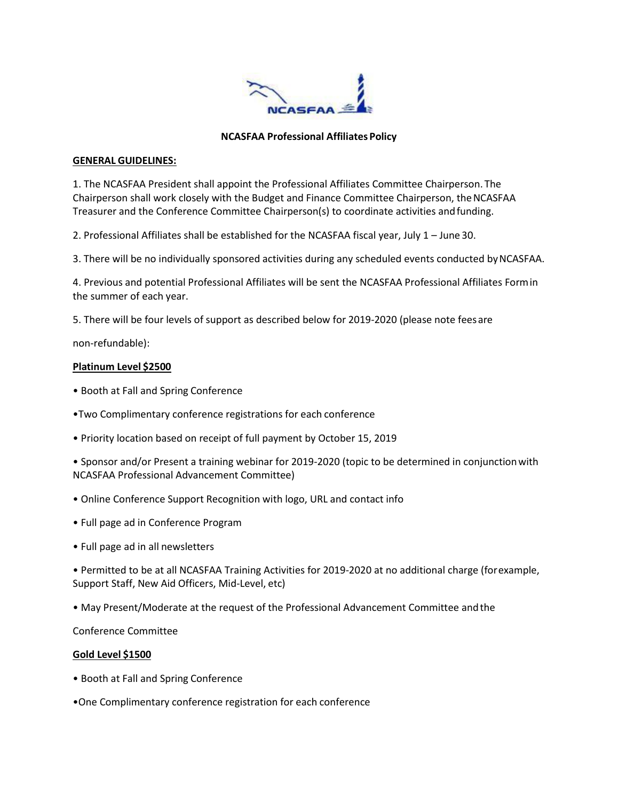

## **NCASFAA Professional Affiliates Policy**

#### **GENERAL GUIDELINES:**

1. The NCASFAA President shall appoint the Professional Affiliates Committee Chairperson. The Chairperson shall work closely with the Budget and Finance Committee Chairperson, theNCASFAA Treasurer and the Conference Committee Chairperson(s) to coordinate activities andfunding.

2. Professional Affiliates shall be established for the NCASFAA fiscal year, July 1 – June 30.

3. There will be no individually sponsored activities during any scheduled events conducted byNCASFAA.

4. Previous and potential Professional Affiliates will be sent the NCASFAA Professional Affiliates Formin the summer of each year.

5. There will be four levels of support as described below for 2019-2020 (please note feesare

non-refundable):

## **Platinum Level \$2500**

- Booth at Fall and Spring Conference
- •Two Complimentary conference registrations for each conference
- Priority location based on receipt of full payment by October 15, 2019
- Sponsor and/or Present a training webinar for 2019-2020 (topic to be determined in conjunctionwith NCASFAA Professional Advancement Committee)
- Online Conference Support Recognition with logo, URL and contact info
- Full page ad in Conference Program
- Full page ad in all newsletters
- Permitted to be at all NCASFAA Training Activities for 2019-2020 at no additional charge (forexample, Support Staff, New Aid Officers, Mid-Level, etc)
- May Present/Moderate at the request of the Professional Advancement Committee andthe

Conference Committee

#### **Gold Level \$1500**

- Booth at Fall and Spring Conference
- •One Complimentary conference registration for each conference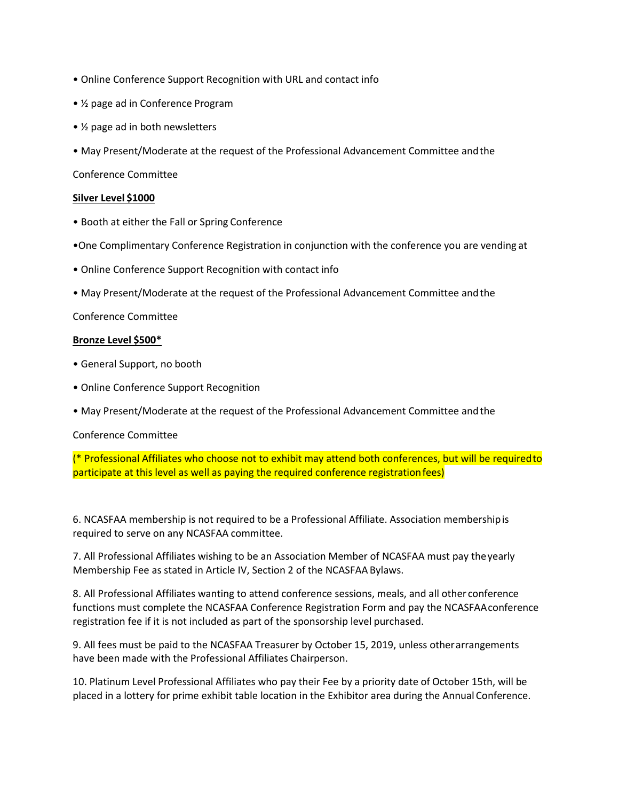- Online Conference Support Recognition with URL and contact info
- ½ page ad in Conference Program
- ½ page ad in both newsletters
- May Present/Moderate at the request of the Professional Advancement Committee andthe

Conference Committee

# **Silver Level \$1000**

- Booth at either the Fall or Spring Conference
- •One Complimentary Conference Registration in conjunction with the conference you are vending at
- Online Conference Support Recognition with contact info
- May Present/Moderate at the request of the Professional Advancement Committee andthe

## Conference Committee

## **Bronze Level \$500\***

- General Support, no booth
- Online Conference Support Recognition
- May Present/Moderate at the request of the Professional Advancement Committee andthe

# Conference Committee

(\* Professional Affiliates who choose not to exhibit may attend both conferences, but will be requiredto participate at this level as well as paying the required conference registrationfees)

6. NCASFAA membership is not required to be a Professional Affiliate. Association membershipis required to serve on any NCASFAA committee.

7. All Professional Affiliates wishing to be an Association Member of NCASFAA must pay theyearly Membership Fee as stated in Article IV, Section 2 of the NCASFAA Bylaws.

8. All Professional Affiliates wanting to attend conference sessions, meals, and all other conference functions must complete the NCASFAA Conference Registration Form and pay the NCASFAAconference registration fee if it is not included as part of the sponsorship level purchased.

9. All fees must be paid to the NCASFAA Treasurer by October 15, 2019, unless otherarrangements have been made with the Professional Affiliates Chairperson.

10. Platinum Level Professional Affiliates who pay their Fee by a priority date of October 15th, will be placed in a lottery for prime exhibit table location in the Exhibitor area during the Annual Conference.